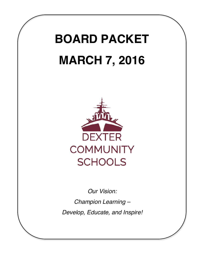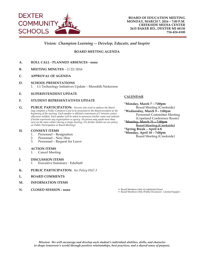

# *Vision: Champion Learning -- Develop, Educate, and Inspire*

**BOARD MEETING AGENDA**

- **A. ROLL CALL - PLANNED ABSENCES - none**
- **B. MEETING MINUTES** 2/22/2016
- **C. APPROVAL OF AGENDA**
- **D. SCHOOL PRESENTATIONS** 1. 1:1 Technology Initiatives Update – Meredith Nickerson
- **E. SUPERINTENDENT UPDATE**

#### **F. STUDENT REPRESENTATIVES UPDATE**

**G. PUBLIC PARTICIPATION:** *Persons who wish to address the Board may complete a Public Comment Card to be presented to the Board president at the beginning of the meeting. Each speaker is allotted a maximum of 5 minutes unless otherwise notified. Each speaker will be asked to announce his/her name and indicate if he/she represents any organization or agency. No person may speak more than once on the same subject during a single meeting. For further details see our policy on Public Participation at Board Meetings.* 

#### **H. CONSENT ITEMS**

- 1. Personnel Resignation
- 2. Personnel New Hire
- 3. Personnel Request for Leave

#### **I. ACTION ITEMS**

- 1. Cancel Meeting
- **J. DISCUSSION ITEMS**
	- 1. Executive Summary EduStaff
- **K. PUBLIC PARTICIPATION:** *See Policy 0167.3*
- **L. BOARD COMMENTS**
- **M. INFORMATION ITEMS**
- **N. CLOSED SESSION - none**

#### **CALENDAR**

**\*Monday, March 7 – 7:00pm** Board Meeting (Creekside) **\*Wednesday, March 9 – 1:00pm** Personnel Committee Meeting (Copeland Conference Room) **\*Monday, March 21 – 7:00pm** Board Meeting (Creekside) **\*Spring Break – April 4-8 \*Monday, April 18 – 7:00pm** Board Meeting (Creekside)

• Board Members Only (Confidential Item) # Board Members Only (Public Document - Limited Supply)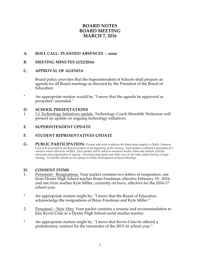# **BOARD NOTES BOARD MEETING MARCH 7, 2016**

# **A. ROLL CALL: PLANNED ABSENCES - none**

# **B. MEETING MINUTES (2/22/2016)**

# **C. APPROVAL OF AGENDA**

Board policy provides that the Superintendent of Schools shall prepare an agenda for all Board meetings as directed by the President of the Board of Education.

\* An appropriate motion would be, "I move that the agenda be approved as presented/amended."

#### **D. SCHOOL PRESENTATIONS**

1. 1:1 Technology Initiatives update. Technology Coach Meredith Nickerson will present an update on ongoing technology initiatives.

#### **E. SUPERINTENDENT UPDATE**

# **F. STUDENT REPRESENTATIVES UPDATE**

**G. PUBLIC PARTICIPATION:** *Persons who wish to address the Board may complete a Public Comment Card to be presented to the Board president at the beginning of the meeting. Each speaker is allotted a maximum of 5 minutes unless otherwise notified. Each speaker will be asked to announce his/her name and indicate if he/she represents any organization or agency. No person may speak more than once on the same subject during a single meeting. For further details see our policy on Public Participation at Board Meetings.*

#### **H. CONSENT ITEMS**

- 1. Personnel Resignations. Your packet contains two letters of resignation: one from Dexter High School teacher Brian Friedman, effective February 19<sup>th</sup>, 2016, and one from teacher Kyle Miller, currently on leave, effective for the 2016-17 school year.
- \* An appropriate motion might be, "I move that the Board of Education acknowledge the resignations of Brian Friedman and Kyle Miller."
- 2. Personnel New Hire. Your packet contains a resume and recommendation to hire Kevin Cislo as a Dexter High School social studies teacher.
- \* An appropriate motion might be, "I move that Kevin Cislo be offered a probationary contract for the remainder of the 2015-16 school year."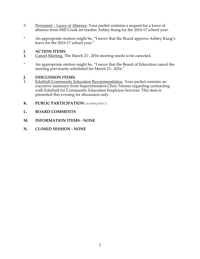- 3. Personnel Leave of Absence. Your packet contains a request for a leave of absence from Mill Creek art teacher Ashley Kung for the 2016-17 school year.
- \* An appropriate motion might be, "I move that the Board approve Ashley Kung's leave for the 2016-17 school year."

# **I. ACTION ITEMS**

- **1.** Cancel Meeting. The March 21<sup>t</sup>, 2016 meeting needs to be canceled.
- \* An appropriate motion might be, "I move that the Board of Education cancel the meeting previously scheduled for March  $21^*$ , 2016."

# **J. DISCUSSION ITEMS**

- 1. EduStaff Community Education Recommendation. Your packet contains an executive summary from Superintendent Chris Timmis regarding contracting with EduStaff for Community Education Employee Services. This item is presented this evening for discussion only.
- **K. PUBLIC PARTICIPATION:** *See Policy 0167.3*
- **L. BOARD COMMENTS**
- **M. INFORMATION ITEMS - NONE**
- **N. CLOSED SESSION - NONE**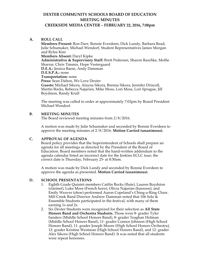# **DEXTER COMMUNITY SCHOOLS BOARD OF EDUCATION MEETING MINUTES**

#### **CREEKSIDE MEDIA CENTER – FEBRUARY 22, 2016, 7:00pm**

#### **A. ROLL CALL**

**Members Present:** Ron Darr, Bonnie Everdeen, Dick Lundy, Barbara Read, Julie Schumaker, Michael Wendorf, Student Representatives James Morgan and Rylee Kim **Members Absent:** Daryl Kipke **Administrative & Supervisory Staff:** Brett Pedersen, Sharon Raschke, Mollie Sharrar, Chris Timmis, Hope Vestergaard **D.E.A.:** Jessica Baese, Andy Damman **D.E.S.P.A.:** none **Transportation:** none **Press:** Sean Dalton, We Love Dexter **Guests:** Michael Sikora, Alayna Sikora, Brenna Sikora, Jennifer Driscoll, Martin Bocks, Rebecca Najarian, Mike Moss, Lori Moss, Lori Sprague, Jill Boydston, Randy Krull

The meeting was called to order at approximately 7:02pm by Board President Michael Wendorf.

#### **B. MEETING MINUTES**

The Board reviewed meeting minutes from 2/8/2016.

A motion was made by Julie Schumaker and seconded by Bonnie Everdeen to approve the meeting minutes of 2/8/2016. **Motion Carried (unanimous).**

#### **C. APPROVAL OF AGENDA**

Board policy provides that the Superintendent of Schools shall prepare an agenda for all meetings as directed by the President of the Board of Education. Board members noted that the hand-written addendum to the agenda calendar listed an incorrect date for the Jenkins ECLC tour; the correct date is Thursday, February  $25^{\circ}$  at 8:30am.

A motion was made by Dick Lundy and seconded by Bonnie Everdeen to approve the agenda as presented. **Motion Carried (unanimous).**

#### **D. SCHOOL PRESENTATIONS**

- 1. Eighth Grade Quintet members Caitlin Bocks (flute), Lauren Boydston (clarinet), Luke Moss (French horn), Olivia Najarian (bassoon), and Emily Weaver (oboe) performed Aaron Copeland's Ching-a-Ring Chaw. Mill Creek Band Director Andrew Damman noted that 106 Solo & Ensemble Students participated in the festival, with many of them earning 1s and 2s.
- 2. Six Dexter Students were recognized for their selection as **All State Honors Band and Orchestra Students.** Those were 8<sup>th</sup> grader Tyler Sanders (Middle School Honors Band), 8<sup>th</sup> grader Teaghan Holman (Middle School Honors Band), 11<sup>th</sup> grader Connor Johnson (High School Honors Band), 11<sup>th</sup> grader Joseph Moore (High School Honors Orchestra),  $12$ <sup>th</sup> grader Kristine Westman (High School Honors Band), and  $12$ <sup>th</sup> grader Alex Sikora (High School Honors Band). It was noted that all students were repeat honorees.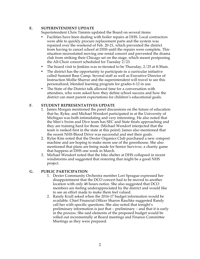# **E. SUPERINTENDENT UPDATE**

Superintendent Chris Timmis updated the Board on several items:

- Facilities have been dealing with boiler repairs at DHS. Local contractors were able to quickly procure replacement parts and the system was repaired over the weekend of Feb. 20-21, which prevented the district from having to cancel school at DHS until the repairs were complete. This situation necessitated moving one rental concert and prevented the drama club from striking their Chicago set on the stage, which meant postponing the All-Choir concert scheduled for Tuesday 2/23.
- The board visit to Jenkins was re-iterated to be Thursday, 2/25 at 8:30am.
- The district has the opportunity to participate in a curricular initiative called Summit Base Camp. Several staff as well as Executive Director of Instruction Mollie Sharrar and the superintendent will travel to see this personalized, blended learning program for grades 6-12 in use.
- The State of the District talk allowed time for a conversation with attendees, who were asked how they define school success and how the district can meet parent expectations for children's educational goals.

# **F. STUDENT REPRESENTATIVES UPDATE**

- 1. James Morgan mentioned the panel discussions on the future of education that he, Rylee, and Michael Wendorf participated in at the University of Michigan was both intimidating and very interesting. He also noted that the Men's Swim and Dive team has SEC and State finals approaching and they are training hard for those. (Michael Wendorf interjected that the team is ranked first in the state at this point). James also mentioned that the recent NHS Blood Drive was successful and met their goals.
- 2. Rylee Kim noted that the Dexter Organics Club purchased a new compost machine and are hoping to make more use of the greenhouse. She also mentioned that plans are being made for Senior Survivor, a charity game that happens at DHS one week in March.
- 3. Michael Wendorf noted that the bike shelter at DHS collapsed in recent windstorms and suggested that restoring that might be a good NHS project.

# **G. PUBLIC PARTICIPATION**

- 1. Dexter Community Orchestra member Lori Sprague expressed her disappointment that the DCO concert had to be moved to another location with only 48 hours notice. She also suggested that DCO members are feeling underappreciated by the district and would like to see an effort made to make them feel valued.
- 2. Randy Krull asked when the 2016-17 budget information would be available. Chief Financial Officer Sharon Raschke suggested Randy call her with specific questions. She also noted that tonight's preliminary information is just that – preliminary – and that it is early in the process. She said elements of the proposed budget would be rolled out incrementally at Board meetings and Finance Committee Meetings as they were prepared.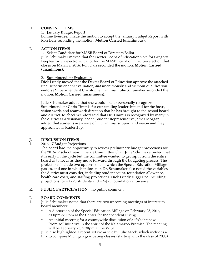#### **H. CONSENT ITEMS**

1. January Budget Report

Bonnie Everdeen made the motion to accept the January Budget Report with Ron Darr seconding the motion. **Motion Carried (unanimous).**

#### **I. ACTION ITEMS**

1. Select Candidate for MASB Board of Directors Ballot

Julie Schumaker moved that the Dexter Board of Education vote for Gregory Peeples for via electronic ballot for the MASB Board of Directors election that closes on March 2, 2016*.* Ron Darr seconded the motion. **Motion Carried (unanimous).**

#### 2. Superintendent Evaluation

Dick Lundy moved that the Dexter Board of Education approve the attached final superintendent evaluation, *and* unanimously and without qualification endorse Superintendent Christopher Timmis. Julie Schumaker seconded the motion. **Motion Carried (unanimous).**

Julie Schumaker added that she would like to personally recognize Superintendent Chris Timmis for outstanding leadership and for the focus, vision work, and teamwork direction that he has brought to the school board and district. Michael Wendorf said that Dr. Timmis is recognized by many in the district as a visionary leader. Student Representative James Morgan added that students are aware of Dr. Timmis' support and vision and they appreciate his leadership.

# **J. DISCUSSION ITEMS**

# 1. 2016-17 Budget Projections

The board had the opportunity to review preliminary budget projections for the 2016-17 school year. Finance Committee Chair Julie Schumaker noted that it is early in the cycle but the committee wanted to get input from the entire board as to focus as they move forward through the budgeting process. The projections include two options: one in which the Special Education Millage passes, and one in which it does not. Dr. Schumaker also noted the variables the district must consider, including student count, foundation allowance, health care costs, and staffing projections. Dick Lundy suggested including projections for  $+/- 25$  students and  $+/-$ \$25 foundation allowance.

# **K. PUBLIC PARTICIPATION** – no public comment

# **L. BOARD COMMENTS**<br>1. Iulie Schumaker noted t

- 1. Julie Schumaker noted that there are two upcoming meetings of interest to board members:
	- A discussion of the Special Education Millage on February 25, 2016, 5:00pm-6:30pm at the Center for Independent Living
	- An initial meeting for a countywide discussion of a "Washtenaw Promise" initiative in the spirit of the Kalamazoo Promise. The meeting will be February 25, 7:30pm at the WISD.

Julie also highlighted a recent MLive article by Julie Mack, which includes a link to compare Michigan graduating classes (starting with the class of 2008)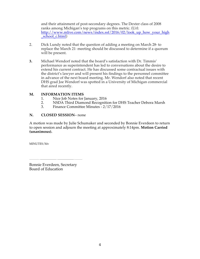and their attainment of post-secondary degrees. The Dexter class of 2008 ranks among Michigan's top programs on this metric. (Url: http://www.mlive.com/news/index.ssf/2016/02/look\_up\_how\_your\_high school\_c.html)

- 2. Dick Lundy noted that the question of adding a meeting on March  $28<sup>*</sup>$  to replace the March 21 meeting should be discussed to determine if a quorum will be present.
- **3.** Michael Wendorf noted that the board's satisfaction with Dr. Timmis' performance as superintendent has led to conversations about the desire to extend his current contract. He has discussed some contractual issues with the district's lawyer and will present his findings to the personnel committee in advance of the next board meeting. Mr. Wendorf also noted that recent DHS grad Joe Wendorf was spotted in a University of Michigan commercial that aired recently.

#### **M. INFORMATION ITEMS**

- 1. Nice Job Notes for January, 2016<br>2. NSDA Third Diamond Recogniti
- 2. NSDA Third Diamond Recognition for DHS Teacher Debora Marsh<br>3. Finance Committee Minutes 2/17/2016
- 3. Finance Committee Minutes 2/17/2016

#### **N. CLOSED SESSION**– none

A motion was made by Julie Schumaker and seconded by Bonnie Everdeen to return to open session and adjourn the meeting at approximately 8:14pm. **Motion Carried (unanimous).** 

MINUTES/hlv

Bonnie Everdeen, Secretary Board of Education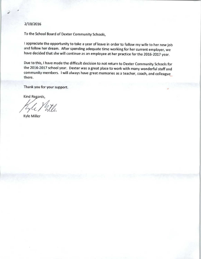#### 2/19/2016

To the School Board of Dexter Community Schools,

I appreciate the opportunity to take a year of leave in order to follow my wife to her new job and follow her dream. After spending adequate time working for her current employer, we have decided that she will continue as an employee at her practice for the 2016-2017 year.

Due to this, I have made the difficult decision to not return to Dexter Community Schools for the 2016-2017 school year. Dexter was a great place to work with many wonderful staff and community members. I will always have great memories as a teacher, coach, and colleague there.

Thank you for your support.

Kind Regards,

Kyle Miller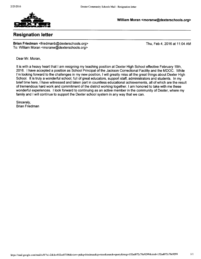

William Moran <moranw@dexterschools.org>

# **Resignation letter**

Brian Friedman <friedmanb@dexterschools.org> To: William Moran <moranw@dexterschools.org>

Thu, Feb 4, 2016 at 11:04 AM

Dear Mr. Moran,

It is with a heavy heart that I am resigning my teaching position at Dexter High School effective February 19th, 2016. I have accepted a position as School Principal of the Jackson Correctional Facility and the MDOC. While I'm looking forward to the challenges in my new position, I will greatly miss all the great things about Dexter High School. It is truly a wonderful school, full of great educators, support staff, administrators and students. In my brief time here, I have witnessed and taken part in countless educational achievements, all of which are the result of tremendous hard work and commitment of the district working together. I am honored to take with me these wonderful experiences. I look forward to continuing as an active member in the community of Dexter, where my family and I will continue to support the Dexter school system in any way that we can.

Sincerely, **Brian Friedman**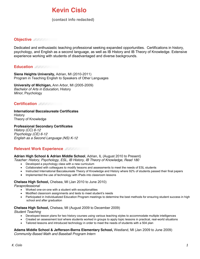# **Kevin Cislo**

(contact info redacted) **(248) 613-1991**

# **Objective**

Dedicated and enthusiastic teaching professional seeking expanded opportunities. Certifications in history, psychology, and English as a second language, as well as IB History and IB Theory of Knowledge. Extensive experience working with students of disadvantaged and diverse backgrounds.

# **Education**

**Siena Heights University,** Adrian, MI (2010-2011) Program in Teaching English to Speakers of Other Languages

**University of Michigan,** Ann Arbor, MI (2005-2009) *Bachelor of Arts in Education,* History *Minor,* Psychology

# **Certification**

**International Baccalaureate Certificates History** Theory of Knowledge

**Professional Secondary Certificates** *History (CC) 6-12 Psychology (CE) 6-12 English as a Second Language (NS) K-12*

# **Relevant Work Experience**

#### **Adrian High School & Adrian Middle School**, Adrian, IL (August 2010 to Present)

- *Teacher: History, Psychology, ESL, IB History, IB Theory of Knowledge, Read 180*
	- Developed a psychology class with a new curriculum
	- Collaborated with colleagues to modify lessons and assessments to meet the needs of ESL students
	- Instructed International Baccalaureate Theory of Knowledge and History where 92% of students passed their final papers
	- Implemented the use of technology with iPads into classroom lessons

#### **Chelsea High School,** Chelsea, MI (Jan 2010 to June 2010)

*Paraprofessional*

- Worked one-on-one with a student with exceptionalities
- Modified classroom assignments and tests to meet student's needs
- Participated in Individualized Education Program meetings to determine the best methods for ensuring student success in high school and after graduation

#### **Chelsea High School,** Chelsea, MI (August 2009 to December 2009)

*Student Teaching*

- Developed lesson plans for two history courses using various teaching styles to accommodate multiple intelligences
- Created an assessment tool where students worked in groups to apply topic lessons in practical, real-world situations
- Tailored lessons and introduced technology in order to meet the needs of students with a 504 plan

# **Adams Middle School & Jefferson-Barns Elementary School,** Westland, MI (Jan 2009 to June 2009)

*Community-Based Math and Baseball Program Intern*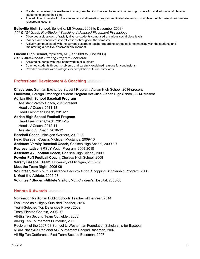- Created an after-school mathematics program that incorporated baseball in order to provide a fun and educational place for students to spend their time
- The addition of baseball to the after-school mathematics program motivated students to complete their homework and review classroom lessons

#### **Belleville High School,** Belleville, MI (August 2008 to December 2008)

*11th & 12th Grade Pre-Student Teaching, Advanced Placement Psychology*

- Observed a classroom of racially diverse students comprised of various social class levels
- Planned and conducted several lessons throughout the semester
- Actively communicated with the current classroom teacher regarding strategies for connecting with the students and maintaining a positive classroom environment

#### **Lincoln High School,** Ypsilanti, MI (Jan 2008 to June 2008)

*PALS After-School Tutoring Program Facilitator*

- Assisted students with their homework in all subjects
- Coached students through problems and carefully explained reasons for conclusions
- Provided students with strategies for completion of future homework

# **Professional Development & Coaching**

**Chaperone,** German Exchange Student Program, Adrian High School, 2014-present **Facilitator,** Foreign Exchange Student Program Activities, Adrian High School, 2014-present

#### **Adrian High School Baseball Program**

 Assistant Varsity Coach, 2013-present Head JV Coach, 2011-13

Head Freshman Coach, 2010-11

#### **Adrian High School Football Program**

 Head Freshman Coach, 2014-15 Head JV Coach, 2012-14

Assistant JV Coach, 2010-12

**Baseball Coach,** Michigan Warriors, 2010-13

**Head Baseball Coach,** Michigan Mustangs, 2009-10

**Assistant Varsity Baseball Coach,** Chelsea High School, 2009-10

**Representative,** SRSLY Youth Program, 2009-2010

**Assistant JV Football Coach,** Chelsea High School, 2009

**Powder Puff Football Coach,** Chelsea High School, 2009

**Varsity Baseball Team**, University of Michigan, 2005-09

**Meet the Team Night,** 2006-09

**Volunteer**, Novi Youth Assistance Back-to-School Shopping Scholarship Program, 2006

**U Meet the Athlete**, 2005-08

**Volunteer/ Student-Athlete Visitor,** Mott Children's Hospital, 2005-06

# **Honors & Awards**

Nomination for Adrian Public Schools Teacher of the Year, 2014 Evaluated as a Highly-Qualified Teacher, 2014 Team-Selected Top Defensive Player, 2009 Team-Elected Captain, 2008-09 All-Big Ten Second Team Outfielder, 2008 All-Big Ten Tournament Outfielder, 2008 Recipient of the 2007-08 Samuel L. Westerman Foundation Scholarship for Baseball NCAA Nashville Regional All-Tournament Second Baseman, 2007 All-Big Ten Conference First Team Second Baseman, 2007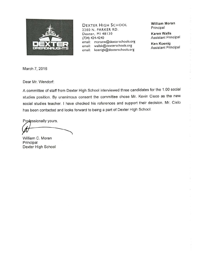

**DEXTER HIGH SCHOOL** 2200 N. PARKER RD. Dexter, MI 48130 (734) 424-4240 moranw@dexterschools.org email: wallsk@dexterschools.org email: koenigk@dexterschools.org email:

**William Moran** Principal

**Karen Walls Assistant Principal** 

**Ken Koenig Assistant Principal** 

March 7, 2016

Dear Mr. Wendorf:

A committee of staff from Dexter High School interviewed three candidates for the 1.00 social studies position. By unanimous consent the committee chose Mr. Kevin Cisco as the new social studies teacher. I have checked his references and support their decision. Mr. Cislo has been contacted and looks forward to being a part of Dexter High School.

Professionally yours,

William C. Moran Principal Dexter High School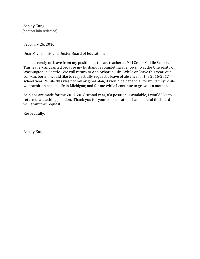Ashley Kung (contact info redacted)

February 26, 2016

Dear Mr. Timmis and Dexter Board of Education:

I am currently on leave from my position as the art teacher at Mill Creek Middle School. This leave was granted because my husband is completing a fellowship at the University of Washington in Seattle. We will return to Ann Arbor in July. While on leave this year, our son was born. I would like to respectfully request a leave of absence for the 2016-2017 school year. While this was not my original plan, it would be beneficial for my family while we transition back to life in Michigan; and for me while I continue to grow as a mother.

As plans are made for the 2017-2018 school year, if a position is available, I would like to return to a teaching position. Thank you for your consideration. I am hopeful the board will grant this request.

Respectfully,

**Ashley Kung**